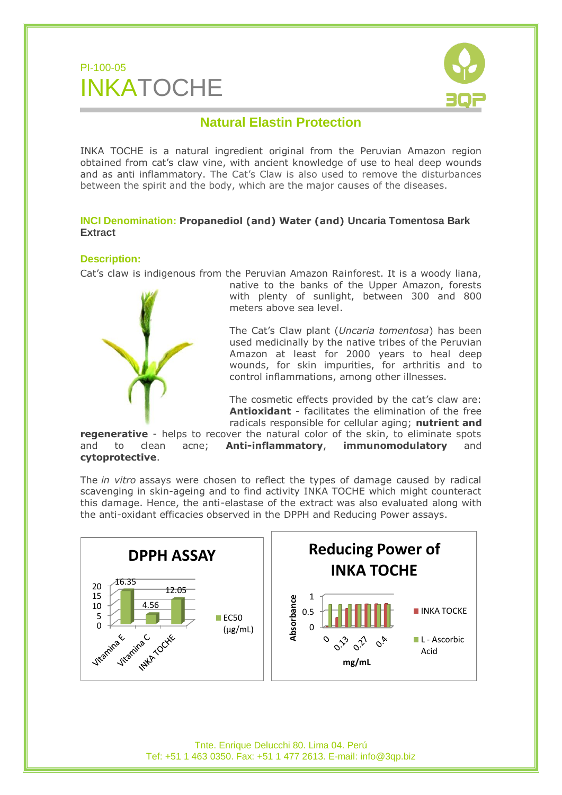



## **Natural Elastin Protection**

INKA TOCHE is a natural ingredient original from the Peruvian Amazon region obtained from cat's claw vine, with ancient knowledge of use to heal deep wounds and as anti inflammatory. The Cat's Claw is also used to remove the disturbances between the spirit and the body, which are the major causes of the diseases.

## **INCI Denomination: Propanediol (and) Water (and) Uncaria Tomentosa Bark Extract**

## **Description:**

Cat's claw is indigenous from the Peruvian Amazon Rainforest. It is a woody liana,



native to the banks of the Upper Amazon, forests with plenty of sunlight, between 300 and 800 meters above sea level.

The Cat's Claw plant (*Uncaria tomentosa*) has been used medicinally by the native tribes of the Peruvian Amazon at least for 2000 years to heal deep wounds, for skin impurities, for arthritis and to control inflammations, among other illnesses.

The cosmetic effects provided by the cat's claw are: **Antioxidant** - facilitates the elimination of the free radicals responsible for cellular aging; **nutrient and** 

**regenerative** - helps to recover the natural color of the skin, to eliminate spots and to clean acne; **Anti-inflammatory**, **immunomodulatory** and **cytoprotective**.

The *in vitro* assays were chosen to reflect the types of damage caused by radical scavenging in skin-ageing and to find activity INKA TOCHE which might counteract this damage. Hence, the anti-elastase of the extract was also evaluated along with the anti-oxidant efficacies observed in the DPPH and Reducing Power assays.